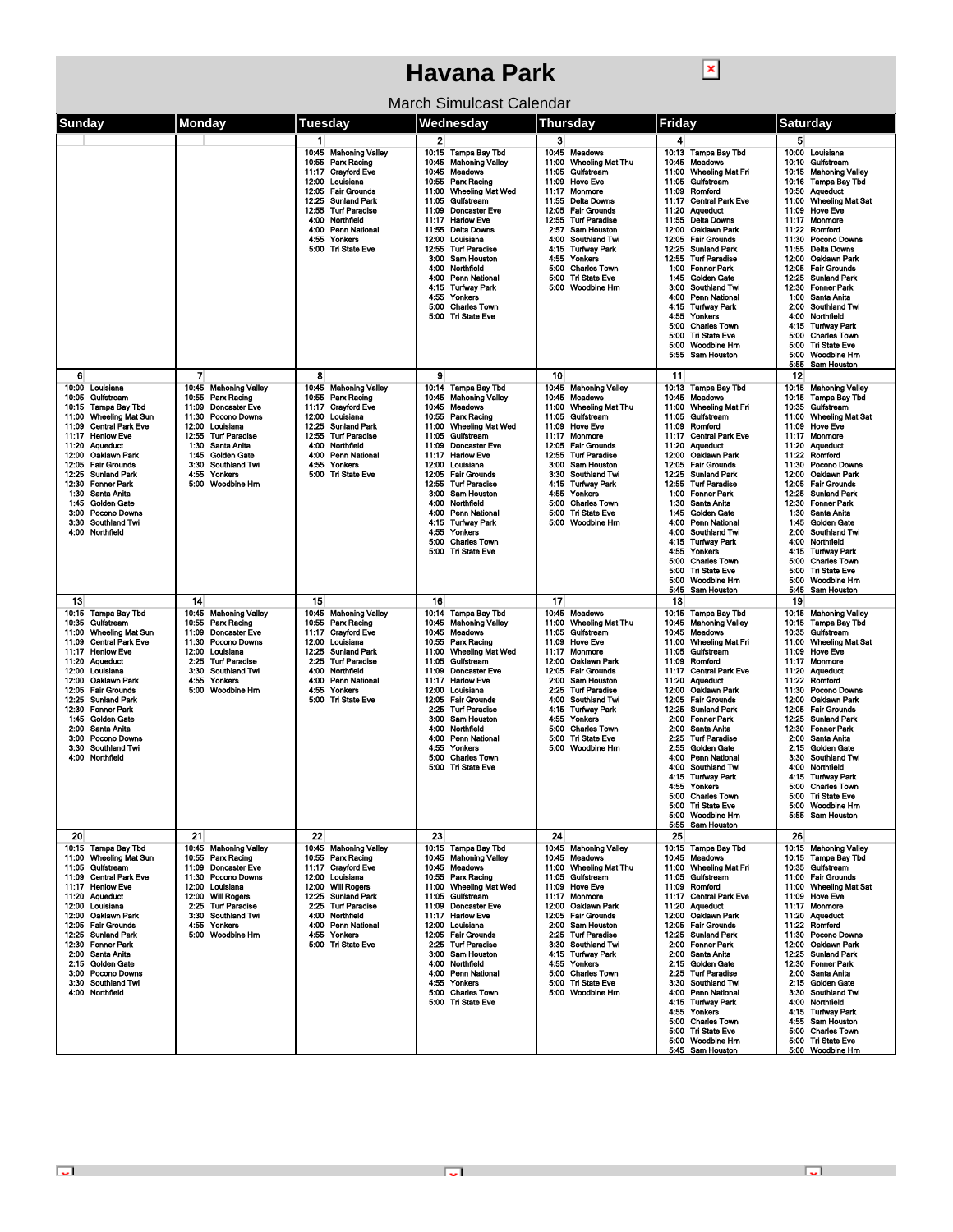## **Havana Park**

 $\boxed{\textbf{x}}$ 

|  | March Simulcast Calendar |  |
|--|--------------------------|--|
|--|--------------------------|--|

| Sunday                                                                                                                                                                                                                                                                                                                                                                                                               | Monday                                                                                                                                                                                                                                                                                             | Tuesdav                                                                                                                                                                                                                                                                                                             | Wednesday                                                                                                                                                                                                                                                                                                                                                                                                                                                                                          | Thursdav                                                                                                                                                                                                                                                                                                                                                                                           | Friday                                                                                                                                                                                                                                                                                                                                                                                                                                                                                                                                                                                                                                             | Saturdav                                                                                                                                                                                                                                                                                                                                                                                                                                                                                                                                                                              |
|----------------------------------------------------------------------------------------------------------------------------------------------------------------------------------------------------------------------------------------------------------------------------------------------------------------------------------------------------------------------------------------------------------------------|----------------------------------------------------------------------------------------------------------------------------------------------------------------------------------------------------------------------------------------------------------------------------------------------------|---------------------------------------------------------------------------------------------------------------------------------------------------------------------------------------------------------------------------------------------------------------------------------------------------------------------|----------------------------------------------------------------------------------------------------------------------------------------------------------------------------------------------------------------------------------------------------------------------------------------------------------------------------------------------------------------------------------------------------------------------------------------------------------------------------------------------------|----------------------------------------------------------------------------------------------------------------------------------------------------------------------------------------------------------------------------------------------------------------------------------------------------------------------------------------------------------------------------------------------------|----------------------------------------------------------------------------------------------------------------------------------------------------------------------------------------------------------------------------------------------------------------------------------------------------------------------------------------------------------------------------------------------------------------------------------------------------------------------------------------------------------------------------------------------------------------------------------------------------------------------------------------------------|---------------------------------------------------------------------------------------------------------------------------------------------------------------------------------------------------------------------------------------------------------------------------------------------------------------------------------------------------------------------------------------------------------------------------------------------------------------------------------------------------------------------------------------------------------------------------------------|
|                                                                                                                                                                                                                                                                                                                                                                                                                      |                                                                                                                                                                                                                                                                                                    |                                                                                                                                                                                                                                                                                                                     |                                                                                                                                                                                                                                                                                                                                                                                                                                                                                                    |                                                                                                                                                                                                                                                                                                                                                                                                    |                                                                                                                                                                                                                                                                                                                                                                                                                                                                                                                                                                                                                                                    |                                                                                                                                                                                                                                                                                                                                                                                                                                                                                                                                                                                       |
|                                                                                                                                                                                                                                                                                                                                                                                                                      |                                                                                                                                                                                                                                                                                                    | $\mathbf{1}$<br>10:45 Mahoning Valley<br>Parx Racing<br>10:55<br><b>Crayford Eve</b><br>11:17<br>Louisiana<br>12:00<br>12:05<br><b>Fair Grounds</b><br><b>Sunland Park</b><br>12:25<br>12:55<br><b>Turf Paradise</b><br>4:00<br>Northfield<br>4:00<br><b>Penn National</b><br>4:55<br>Yonkers<br>5:00 Tri State Eve | $\overline{2}$<br>10:15 Tampa Bay Tbd<br>10:45 Mahoning Valley<br>10:45<br>Meadows<br>10:55<br>Parx Racing<br>11:00<br><b>Wheeling Mat Wed</b><br>11:05<br>Gulfstream<br>11:09<br><b>Doncaster Eve</b><br>11:17<br><b>Harlow Eve</b><br>11:55<br><b>Delta Downs</b><br>12:00<br>Louisiana<br>12:55<br><b>Turf Paradise</b><br>3:00<br>Sam Houston<br>4:00<br>Northfield<br><b>Penn National</b><br>4:00<br>4:15<br>Turfway Park<br>Yonkers<br>4:55                                                 | 3<br>10:45 Meadows<br>11:00<br><b>Wheeling Mat Thu</b><br>11:05<br>Gulfstream<br>11:09<br><b>Hove Eve</b><br>11:17<br>Monmore<br><b>Delta Downs</b><br>11:55<br>12:05 Fair Grounds<br>12:55 Turf Paradise<br>2:57<br><b>Sam Houston</b><br>4:00 Southland Twi<br>4:15 Turiway Park<br>4:55<br>Yonkers<br>5:00<br><b>Charles Town</b><br><b>Tri State Eve</b><br>5:00<br>5:00<br><b>Woodbine Hm</b> | 4<br>10:13<br>Tampa Bay Tbd<br>10:45<br>Meadows<br><b>Wheeling Mat Fri</b><br>11:00<br>Gulfstream<br>11:05<br>11:09<br>Romford<br><b>Central Park Eve</b><br>11:17<br>11:20<br><b>Aqueduct</b><br>Delta Downs<br>11:55<br>12:00<br>Oaklawn Park<br><b>Fair Grounds</b><br>12:05<br>12:25<br><b>Sunland Park</b><br>12:55<br><b>Turf Paradise</b><br>1:00<br><b>Fonner Park</b><br><b>Golden Gate</b><br>1:45<br>3:00<br>Southland Twi<br>4:00<br>Penn National                                                                                                                                                                                     | 5<br>10:00 Louisiana<br>10:10 Gulfstream<br>10:15 Mahoning Valley<br>10:16 Tampa Bay Tbd<br>10:50 Aqueduct<br>11:00<br><b>Wheeling Mat Sat</b><br>11:09<br><b>Hove Eve</b><br>11:17 Monmore<br>11:22 Romford<br>11:30<br><b>Pocono Downs</b><br>11:55<br>Delta Downs<br>12:00 Oaklawn Park<br>12:05 Fair Grounds<br><b>Sunland Park</b><br>12:25<br>12:30<br><b>Fonner Park</b><br>1:00<br>Santa Anita                                                                                                                                                                                |
|                                                                                                                                                                                                                                                                                                                                                                                                                      |                                                                                                                                                                                                                                                                                                    |                                                                                                                                                                                                                                                                                                                     | 5:00<br><b>Charles Town</b><br>5:00 Tri State Eve                                                                                                                                                                                                                                                                                                                                                                                                                                                  |                                                                                                                                                                                                                                                                                                                                                                                                    | <b>Turiway Park</b><br>4.15<br>4:55<br>Yonkers<br>5:00<br><b>Charles Town</b><br>5:00<br><b>Tri State Eve</b><br>5:00<br>Woodbine Hm<br>5:55<br>Sam Houston                                                                                                                                                                                                                                                                                                                                                                                                                                                                                        | 2:00<br>Southland Twi<br>4:00<br>Northfield<br>Turfway Park<br>4:15<br>5:00<br><b>Charles Town</b><br>5:00<br><b>Tri State Eve</b><br>5:00<br>Woodbine Hm<br>5:55 Sam Houston                                                                                                                                                                                                                                                                                                                                                                                                         |
| 6<br>10:00 Louisiana<br>10:05 Guifstream<br>10:15<br>Tampa Bay Tbd<br><b>Wheeling Mat Sun</b><br>11:00<br>11:09<br><b>Central Park Eve</b><br>11:17 Henlow Eve<br>11:20 Aqueduct<br>12:00<br>Oaklawn Park<br>12:05<br><b>Fair Grounds</b><br>12:25<br><b>Suniand Park</b><br>12:30 Fonner Park<br>Santa Anita<br>1:30<br><b>Golden Gate</b><br>1:45<br>3:00<br>Pocono Downs<br>3:30 Southland Twi<br>4:00 Northfield | 7<br>10:45 Mahoning Valley<br>Parx Racing<br>10:55<br>11:09<br><b>Doncaster Eve</b><br>11:30<br>Pocono Downs<br>12:00<br>Louisiana<br>12:55<br><b>Turf Paradise</b><br>1:30<br>Santa Anita<br><b>Golden Gate</b><br>1:45<br>3:30<br><b>Southland Twi</b><br>4:55<br>Yonkers<br>Woodbine Hm<br>5:00 | 8<br>10:45<br><b>Mahoning Valley</b><br>Parx Racing<br>10:55<br>Crayford Eve<br>11:17<br>12:00<br>Louisiana<br>12:25<br><b>Sunland Park</b><br>12:55<br><b>Turf Paradise</b><br>4:00<br>Northfield<br>Penn National<br>4:00<br>4:55<br>Yonkers<br>5:00<br><b>Tri State Eve</b>                                      | 9<br>10:14 Tampa Bay Tbd<br>10:45<br><b>Mahoning Valley</b><br>10:45 Meadows<br>10:55<br>Parx Racing<br><b>Wheeling Mat Wed</b><br>11:00<br>11:05<br>Gulfstream<br>11:09<br><b>Doncaster Eve</b><br><b>Harlow Eve</b><br>11:17<br>12:00<br>Louisiana<br>12:05<br><b>Fair Grounds</b><br>12:55<br>Turf Paradise<br>3:00<br><b>Sam Houston</b><br>4:00<br>Northfield<br>4:00<br><b>Penn National</b><br>4:15<br>Turfway Park<br>Yonkers<br>4:55<br>5:00<br><b>Charles Town</b><br>5:00 Tri State Eve | 10<br>10:45 Mahoning Valley<br>10:45 Meadows<br>11:00 Wheeling Mat Thu<br>11:05<br>Gulfstream<br>11:09<br><b>Hove Eve</b><br>11:17<br>Monmore<br>12:05 Fair Grounds<br>12:55 Turf Paradise<br><b>Sam Houston</b><br>3:00<br>3:30<br><b>Southland Twi</b><br><b>Turiway Park</b><br>4:15<br>4:55<br>Yonkers<br>5:00<br><b>Charles Town</b><br>5:00<br><b>Tri State Eve</b><br>5:00 Woodbine Hm      | 11<br>10:13<br>Tampa Bay Tbd<br>10:45<br>Meadows<br>11:00<br><b>Wheeling Mat Fri</b><br>Gulfstream<br>11:05<br>11:09<br>Romford<br>11:17<br><b>Central Park Eve</b><br>11:20<br><b>Aqueduct</b><br>12:00<br>Oaklawn Park<br><b>Fair Grounds</b><br>12:05<br>12:25<br><b>Sunland Park</b><br><b>Turf Paradise</b><br>12:55<br>1:00<br><b>Fonner Park</b><br>1:30<br>Santa Anita<br><b>Golden Gate</b><br>1:45<br>4.00<br>Penn National<br>4:00<br>Southland Twi<br>4.15<br>Turiway Park<br>4:55<br>Yonkers<br>5:00<br><b>Charles Town</b><br>5:00<br><b>Tri State Eve</b><br>5:00<br>Woodbine Hm<br><b>Sam Houston</b><br>5:45                      | 12<br>10:15 Mahoning Valley<br>10:15 Tampa Bay Tbd<br>10:35<br>Gulfstream<br>11:00<br><b>Wheeling Mat Sat</b><br>11:09<br><b>Hove Eve</b><br>11:17 Monmore<br>11:20 Aqueduct<br>11:22 Romford<br>Pocono Downs<br>11:30<br>12:00<br>Oaklawn Park<br>12:05 Fair Grounds<br>12:25<br><b>Sunland Park</b><br>12:30<br><b>Fonner Park</b><br>1:30<br>Santa Anita<br>1:45<br><b>Golden Gate</b><br>2:00<br><b>Southland Twi</b><br>Northfield<br>4:00<br>4:15<br><b>Turfway Park</b><br><b>Charles Town</b><br>5:00<br>5:00<br><b>Tri State Eve</b><br>5:00 Woodbine Hm<br>5:45 Sam Houston |
| 13<br>10:15 Tampa Bay Tbd<br>10:35<br>Guifstream<br>11:00<br><b>Wheeling Mat Sun</b><br><b>Central Park Eve</b><br>11:09<br>11:17 Henlow Eve<br>11:20<br>Aqueduct<br>12:00<br>Louisiana<br>12:00<br>Oaklawn Park<br>12:05 Fair Grounds<br>12:25<br>Sunland Park<br>12:30 Fonner Park<br>1:45<br><b>Golden Gate</b><br>2:00 Santa Anita<br>3:00<br><b>Pocono Downs</b><br>3:30 Southland Twi<br>4:00 Northfield       | 14<br>10:45<br><b>Mahoning Valley</b><br>10:55<br>Parx Racing<br>11:09<br><b>Doncaster Eve</b><br>11:30<br>Pocono Downs<br>12:00<br>Louisiana<br>2:25<br><b>Turt Paradise</b><br>3:30<br>Southland Twi<br>4:55<br>Yonkers<br>5:00<br><b>Woodbine Hm</b>                                            | 15<br>10:45<br><b>Mahoning Valley</b><br>10:55<br>Parx Racing<br>11:17<br><b>Crayford Eve</b><br>Louisiana<br>12:00<br>12:25<br><b>Sunland Park</b><br>2:25<br><b>Turf Paradise</b><br>4:00<br>Northfield<br>4:00<br>Penn National<br>4:55<br>Yonkers<br>5:00 Tri State Eve                                         | 16<br>10:14 Tampa Bay Tbd<br>10:45<br><b>Mahoning Valley</b><br>10:45<br><b>Meadows</b><br>Parx Racing<br>10:55<br>11:00<br><b>Wheeling Mat Wed</b><br>11:05<br>Gulfstream<br>11:09<br><b>Doncaster Eve</b><br>11:17<br><b>Harlow Eve</b><br>12:00<br>Louisiana<br>12:05<br><b>Fair Grounds</b><br>2:25<br><b>Turf Paradise</b><br>3:00<br>Sam Houston<br>4:00<br>Northfield<br><b>Penn National</b><br>4:00<br>4:55<br>Yonkers<br>5:00<br><b>Charles Town</b><br>5:00 Tri State Eve               | 17<br>10:45 Meadows<br>11:00<br>Wheeling Mat Thu<br>11:05<br>Gulfstream<br>11:09<br><b>Hove Eve</b><br>11:17<br>Monmore<br>12:00<br>Oaklawn Park<br>12:05 Fair Grounds<br><b>Sam Houston</b><br>2:00<br>2:25<br><b>Turf Paradise</b><br>4:00<br>Southland Twi<br>4:15<br><b>Turiway Park</b><br>4.55<br>Yonkers<br>5:00<br><b>Charles Town</b><br>5:00<br><b>Tri State Eve</b><br>5:00 Woodbine Hm | 18<br>10:15<br><b>Tampa Bay Tbd</b><br>10:45<br><b>Mahoning Valley</b><br>10:45<br>Meadows<br><b>Wheeling Mat Fri</b><br>11:00<br>Gulfstream<br>11:05<br>11:09<br>Romford<br><b>Central Park Eve</b><br>11:17<br><b>Aqueduct</b><br>11:20<br>Oaklawn Park<br>12:00<br>12:05<br><b>Fair Grounds</b><br>12:25<br><b>Sunland Park</b><br>2:00<br>Fonner Park<br>2:00<br>Santa Anita<br>2.25<br><b>Turf Paradise</b><br><b>Golden Gate</b><br>2:55<br>4.00<br>Penn National<br>4:00<br>Southland Twi<br>4:15<br><b>Turfway Park</b><br>4:55<br>Yonkers<br>5:00 Charles Town<br>5:00<br><b>Tri State Fve</b><br>5:00 Woodbine Hm<br>5:55<br>Sam Houston | 19<br>10:15 Mahoning Valley<br>10:15 Tampa Bay Tbd<br>10:35 Gulfstream<br>11:00<br><b>Wheeling Mat Sat</b><br>11:09<br><b>Hove Eve</b><br>11:17 Monmore<br>11:20<br>Aqueduct<br>11:22<br>Romford<br>11:30<br>Pocono Downs<br>12:00<br>Oaklawn Park<br>12:05<br><b>Fair Grounds</b><br>12:25<br><b>Sunland Park</b><br>12:30<br><b>Fonner Park</b><br>2:00<br>Santa Anita<br>2:15<br><b>Golden Gate</b><br>3:30<br><b>Southland Twi</b><br>4:00<br>Northfield<br>Turiway Park<br>4:15<br><b>Charles Town</b><br>5:00<br>5:00 Tri State Eve<br>5:00<br>Woodbine Hm<br>5:55 Sam Houston  |
| 20<br>10:15 Tampa Bay Tbd<br>11:00 Wheeling Mat Sun<br>11:05 Gulfstream<br>11:09 Central Park Eve<br>11:17 Henlow Eve<br>11:20 Aqueduct<br>12:00 Louisiana<br>12:00 Oaklawn Park<br>12:05 Fair Grounds<br>12:25 Sunland Park<br>12:30 Fonner Park<br>2:00 Santa Anita<br>2:15 Golden Gate<br>3:00 Pocono Downs<br>3:30 Southland Twi<br>4:00 Northfield                                                              | 21<br>10:45 Mahoning Valley<br>Parx Racing<br>10:55<br><b>Doncaster Eve</b><br>11:09<br>11:30 Pocono Downs<br>12:00 Louisiana<br>12:00 Will Rogers<br><b>Turf Paradise</b><br>2:25<br>3:30<br>Southland Twi<br>Yonkers<br>4:55<br>5:00 Woodbine Hm                                                 | 22<br>10:45 Mahoning Valley<br>Parx Racing<br>10:55<br>11:17 Crayford Eve<br>12:00 Louisiana<br>12:00 Will Rogers<br>12:25 Sunland Park<br>2:25 Turf Paradise<br>4:00<br>Northfield<br><b>Penn National</b><br>4:00<br>Yonkers<br>4.55<br>5:00 Tri State Eve                                                        | 23<br>10:15 Tampa Bay Tbd<br>10:45 Mahoning Valley<br>10:45 Meadows<br>10:55 Parx Racing<br>11:00 Wheeling Mat Wed<br>11:05 Gulfstream<br><b>Doncaster Eve</b><br>11:09<br>11:17 Harlow Eve<br>12:00 Louisiana<br>12:05 Fair Grounds<br>2:25<br><b>Turf Paradise</b><br>3:00 Sam Houston<br>4:00 Northfield<br>4:00 Penn National<br>4:55<br>Yonkers<br><b>Charles Town</b><br>5:00<br>5:00 Tri State Eve                                                                                          | 24<br>10:45 Mahoning Valley<br>10:45 Meadows<br><b>Wheeling Mat Thu</b><br>11:00<br>11:05 Gulfstream<br>11:09 Hove Eve<br>11:17<br><b>Monmore</b><br>12:00 Oaklawn Park<br>12:05 Fair Grounds<br>2:00 Sam Houston<br>2:25 Turf Paradise<br>3:30 Southland Twi<br>4:15 Turtway Park<br>4:55<br>Yonkers<br>5:00<br><b>Charles Town</b><br><b>Tri State Eve</b><br>5:00<br>5:00 Woodbine Hm           | 25<br>10:15 Tampa Bay Tbd<br>Meadows<br>10:45<br><b>Wheeling Mat Fri</b><br>11:00<br>Gulfstream<br>11:05<br>11:09 Romford<br>11:17 Central Park Eve<br>11:20 Aqueduct<br>12:00 Oaklawn Park<br>12:05 Fair Grounds<br>12:25 Sunland Park<br>2:00 Fonner Park<br>2:00<br>Santa Anita<br>2:15 Golden Gate<br><b>Turf Paradise</b><br>2:25<br>Southland Twi<br>3:30<br>4:00<br>Penn National<br><b>Turfway Park</b><br>4:15<br>Yonkers<br>4:55<br>5:00<br><b>Charles Town</b><br>5:00<br>Tri State Eve<br>5:00 Woodbine Hrn<br>5:45 Sam Houeton                                                                                                        | 26<br>10:15 Mahoning Valley<br>10:15 Tampa Bay Tbd<br>10:35 Gulfstream<br>11:00 Fair Grounds<br>11:00 Wheeling Mat Sat<br>11:09 Hove Eve<br>11:17 Monmore<br>11:20 Aqueduct<br>11:22 Romford<br>11:30 Pocono Downs<br>12:00 Oaklawn Park<br>12:25 Sunland Park<br>12:30 Fonner Park<br>2:00 Santa Anita<br>2:15 Golden Gate<br>3:30 Southland Twi<br>4:00 Northfield<br>4:15 Turtway Park<br>4:55 Sam Houston<br>5:00 Charles Town<br>5:00 Tri State Eve<br>5:00 Woodbing Hm                                                                                                          |